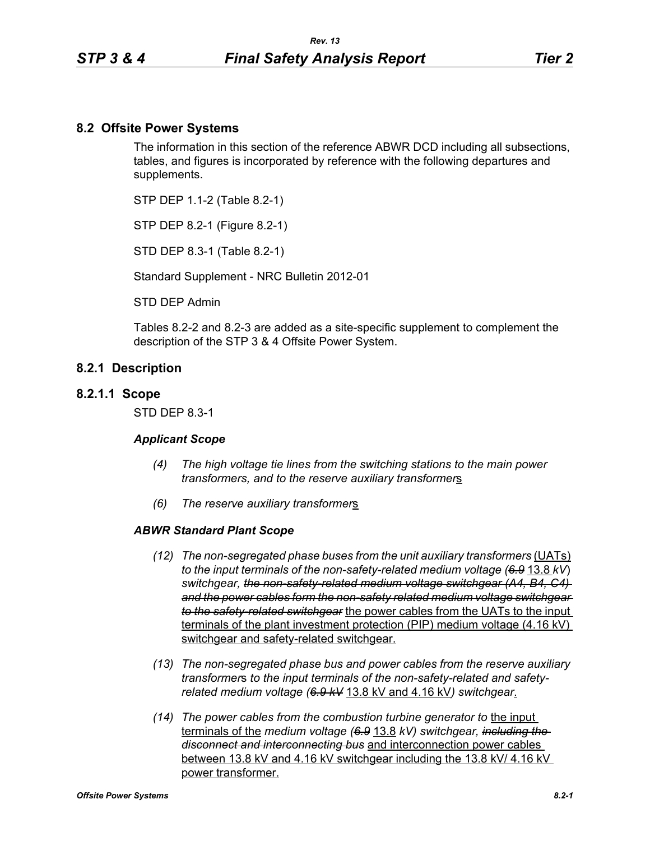## **8.2 Offsite Power Systems**

The information in this section of the reference ABWR DCD including all subsections, tables, and figures is incorporated by reference with the following departures and supplements.

STP DEP 1.1-2 (Table 8.2-1)

STP DEP 8.2-1 (Figure 8.2-1)

STD DEP 8.3-1 (Table 8.2-1)

Standard Supplement - NRC Bulletin 2012-01

STD DEP Admin

Tables 8.2-2 and 8.2-3 are added as a site-specific supplement to complement the description of the STP 3 & 4 Offsite Power System.

### **8.2.1 Description**

#### **8.2.1.1 Scope**

STD DEP 8.3-1

#### *Applicant Scope*

- *(4) The high voltage tie lines from the switching stations to the main power transformers, and to the reserve auxiliary transformer*s
- *(6) The reserve auxiliary transformer*s

#### *ABWR Standard Plant Scope*

- *(12) The non-segregated phase buses from the unit auxiliary transformers* (UATs) *to the input terminals of the non-safety-related medium voltage (6.9* 13.8 *kV*) *switchgear, the non-safety-related medium voltage switchgear (A4, B4, C4) and the power cables form the non-safety related medium voltage switchgear to the safety-related switchgear* the power cables from the UATs to the input terminals of the plant investment protection (PIP) medium voltage (4.16 kV) switchgear and safety-related switchgear.
- *(13) The non-segregated phase bus and power cables from the reserve auxiliary transformer*s *to the input terminals of the non-safety-related and safetyrelated medium voltage (6.9 kV* 13.8 kV and 4.16 kV*) switchgear*.
- *(14) The power cables from the combustion turbine generator to* the input terminals of the *medium voltage (6.9* 13.8 *kV) switchgear, including the disconnect and interconnecting bus* and interconnection power cables between 13.8 kV and 4.16 kV switchgear including the 13.8 kV/ 4.16 kV power transformer.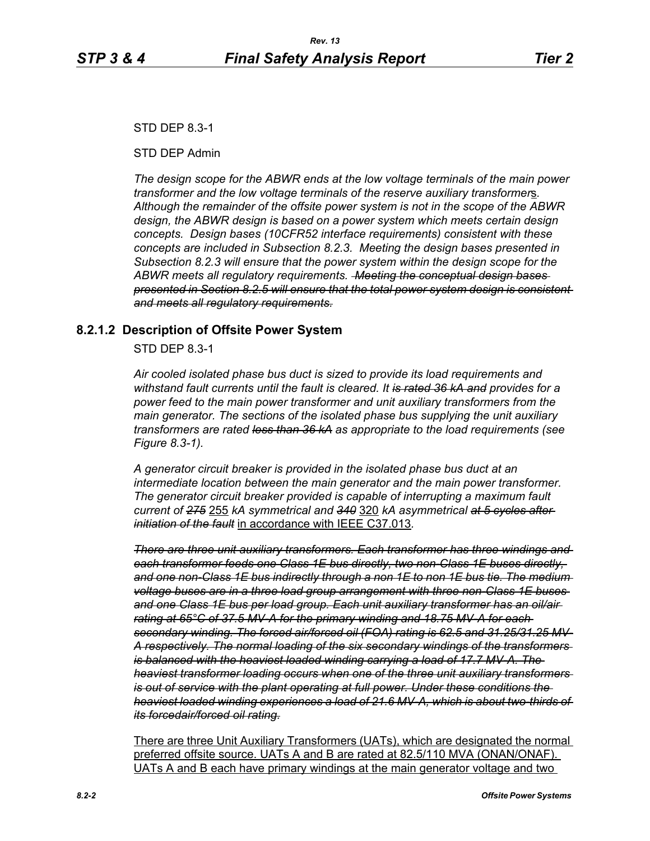STD DEP 8.3-1

STD DEP Admin

*The design scope for the ABWR ends at the low voltage terminals of the main power transformer and the low voltage terminals of the reserve auxiliary transformer*s*. Although the remainder of the offsite power system is not in the scope of the ABWR design, the ABWR design is based on a power system which meets certain design concepts. Design bases (10CFR52 interface requirements) consistent with these concepts are included in Subsection 8.2.3. Meeting the design bases presented in Subsection 8.2.3 will ensure that the power system within the design scope for the ABWR meets all regulatory requirements. Meeting the conceptual design bases presented in Section 8.2.5 will ensure that the total power system design is consistent and meets all regulatory requirements.*

## **8.2.1.2 Description of Offsite Power System**

STD DEP 8.3-1

*Air cooled isolated phase bus duct is sized to provide its load requirements and withstand fault currents until the fault is cleared. It is rated 36 kA and provides for a power feed to the main power transformer and unit auxiliary transformers from the main generator. The sections of the isolated phase bus supplying the unit auxiliary transformers are rated less than 36 kA as appropriate to the load requirements (see Figure 8.3-1).* 

*A generator circuit breaker is provided in the isolated phase bus duct at an intermediate location between the main generator and the main power transformer. The generator circuit breaker provided is capable of interrupting a maximum fault current of 275* 255 *kA symmetrical and 340* 320 *kA asymmetrical at 5 cycles after initiation of the fault* in accordance with IEEE C37.013*.*

*There are three unit auxiliary transformers. Each transformer has three windings and each transformer feeds one Class 1E bus directly, two non-Class 1E buses directly, and one non-Class 1E bus indirectly through a non 1E to non 1E bus tie. The medium voltage buses are in a three load group arrangement with three non-Class 1E buses and one Class 1E bus per load group. Each unit auxiliary transformer has an oil/air rating at 65°C of 37.5 MV-A for the primary winding and 18.75 MV-A for each secondary winding. The forced air/forced oil (FOA) rating is 62.5 and 31.25/31.25 MV-A respectively. The normal loading of the six secondary windings of the transformers is balanced with the heaviest loaded winding carrying a load of 17.7 MV-A. The heaviest transformer loading occurs when one of the three unit auxiliary transformers is out of service with the plant operating at full power. Under these conditions the heaviest loaded winding experiences a load of 21.6 MV-A, which is about two-thirds of its forcedair/forced oil rating.*

There are three Unit Auxiliary Transformers (UATs), which are designated the normal preferred offsite source. UATs A and B are rated at 82.5/110 MVA (ONAN/ONAF). UATs A and B each have primary windings at the main generator voltage and two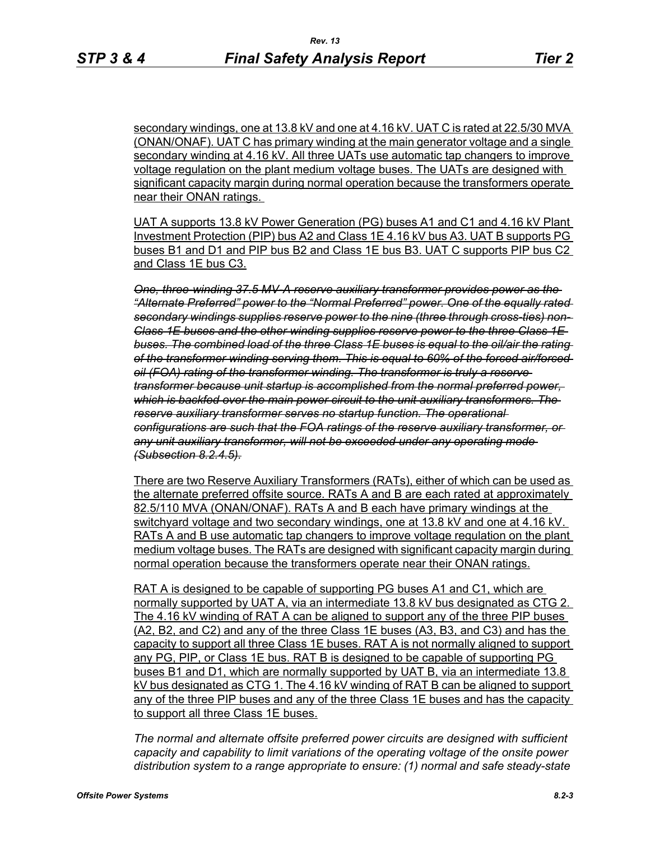secondary windings, one at 13.8 kV and one at 4.16 kV. UAT C is rated at 22.5/30 MVA (ONAN/ONAF). UAT C has primary winding at the main generator voltage and a single secondary winding at 4.16 kV. All three UATs use automatic tap changers to improve voltage regulation on the plant medium voltage buses. The UATs are designed with significant capacity margin during normal operation because the transformers operate near their ONAN ratings.

UAT A supports 13.8 kV Power Generation (PG) buses A1 and C1 and 4.16 kV Plant Investment Protection (PIP) bus A2 and Class 1E 4.16 kV bus A3. UAT B supports PG buses B1 and D1 and PIP bus B2 and Class 1E bus B3. UAT C supports PIP bus C2 and Class 1E bus C3.

*One, three-winding 37.5 MV-A reserve auxiliary transformer provides power as the "Alternate Preferred" power to the "Normal Preferred" power. One of the equally rated secondary windings supplies reserve power to the nine (three through cross-ties) non-Class 1E buses and the other winding supplies reserve power to the three Class 1E buses. The combined load of the three Class 1E buses is equal to the oil/air the rating of the transformer winding serving them. This is equal to 60% of the forced air/forced oil (FOA) rating of the transformer winding. The transformer is truly a reserve transformer because unit startup is accomplished from the normal preferred power, which is backfed over the main power circuit to the unit auxiliary transformers. The reserve auxiliary transformer serves no startup function. The operational configurations are such that the FOA ratings of the reserve auxiliary transformer, or any unit auxiliary transformer, will not be exceeded under any operating mode (Subsection 8.2.4.5).*

There are two Reserve Auxiliary Transformers (RATs), either of which can be used as the alternate preferred offsite source. RATs A and B are each rated at approximately 82.5/110 MVA (ONAN/ONAF). RATs A and B each have primary windings at the switchyard voltage and two secondary windings, one at 13.8 kV and one at 4.16 kV. RATs A and B use automatic tap changers to improve voltage regulation on the plant medium voltage buses. The RATs are designed with significant capacity margin during normal operation because the transformers operate near their ONAN ratings.

RAT A is designed to be capable of supporting PG buses A1 and C1, which are normally supported by UAT A, via an intermediate 13.8 kV bus designated as CTG 2. The 4.16 kV winding of RAT A can be aligned to support any of the three PIP buses (A2, B2, and C2) and any of the three Class 1E buses (A3, B3, and C3) and has the capacity to support all three Class 1E buses. RAT A is not normally aligned to support any PG, PIP, or Class 1E bus. RAT B is designed to be capable of supporting PG buses B1 and D1, which are normally supported by UAT B, via an intermediate 13.8 kV bus designated as CTG 1. The 4.16 kV winding of RAT B can be aligned to support any of the three PIP buses and any of the three Class 1E buses and has the capacity to support all three Class 1E buses.

*The normal and alternate offsite preferred power circuits are designed with sufficient capacity and capability to limit variations of the operating voltage of the onsite power distribution system to a range appropriate to ensure: (1) normal and safe steady-state*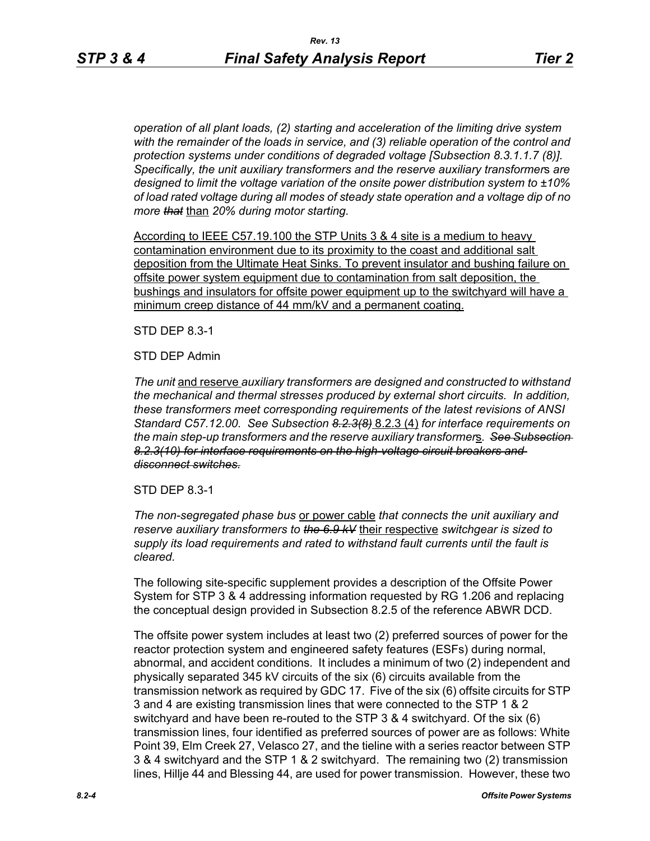*operation of all plant loads, (2) starting and acceleration of the limiting drive system with the remainder of the loads in service, and (3) reliable operation of the control and protection systems under conditions of degraded voltage [Subsection 8.3.1.1.7 (8)]. Specifically, the unit auxiliary transformers and the reserve auxiliary transformer*s *are designed to limit the voltage variation of the onsite power distribution system to ±10% of load rated voltage during all modes of steady state operation and a voltage dip of no more that* than *20% during motor starting.*

According to IEEE C57.19.100 the STP Units 3 & 4 site is a medium to heavy contamination environment due to its proximity to the coast and additional salt deposition from the Ultimate Heat Sinks. To prevent insulator and bushing failure on offsite power system equipment due to contamination from salt deposition, the bushings and insulators for offsite power equipment up to the switchyard will have a minimum creep distance of 44 mm/kV and a permanent coating.

STD DEP 8.3-1

STD DEP Admin

*The unit* and reserve *auxiliary transformers are designed and constructed to withstand the mechanical and thermal stresses produced by external short circuits. In addition, these transformers meet corresponding requirements of the latest revisions of ANSI Standard C57.12.00. See Subsection 8.2.3(8)* 8.2.3 (4) *for interface requirements on the main step-up transformers and the reserve auxiliary transformer*s*. See Subsection 8.2.3(10) for interface requirements on the high-voltage circuit breakers and disconnect switches.*

STD DEP 8.3-1

*The non-segregated phase bus* or power cable *that connects the unit auxiliary and reserve auxiliary transformers to the 6.9 kV* their respective *switchgear is sized to supply its load requirements and rated to withstand fault currents until the fault is cleared.*

The following site-specific supplement provides a description of the Offsite Power System for STP 3 & 4 addressing information requested by RG 1.206 and replacing the conceptual design provided in Subsection 8.2.5 of the reference ABWR DCD.

The offsite power system includes at least two (2) preferred sources of power for the reactor protection system and engineered safety features (ESFs) during normal, abnormal, and accident conditions. It includes a minimum of two (2) independent and physically separated 345 kV circuits of the six (6) circuits available from the transmission network as required by GDC 17. Five of the six (6) offsite circuits for STP 3 and 4 are existing transmission lines that were connected to the STP 1 & 2 switchyard and have been re-routed to the STP 3 & 4 switchyard. Of the six (6) transmission lines, four identified as preferred sources of power are as follows: White Point 39, Elm Creek 27, Velasco 27, and the tieline with a series reactor between STP 3 & 4 switchyard and the STP 1 & 2 switchyard. The remaining two (2) transmission lines, Hillje 44 and Blessing 44, are used for power transmission. However, these two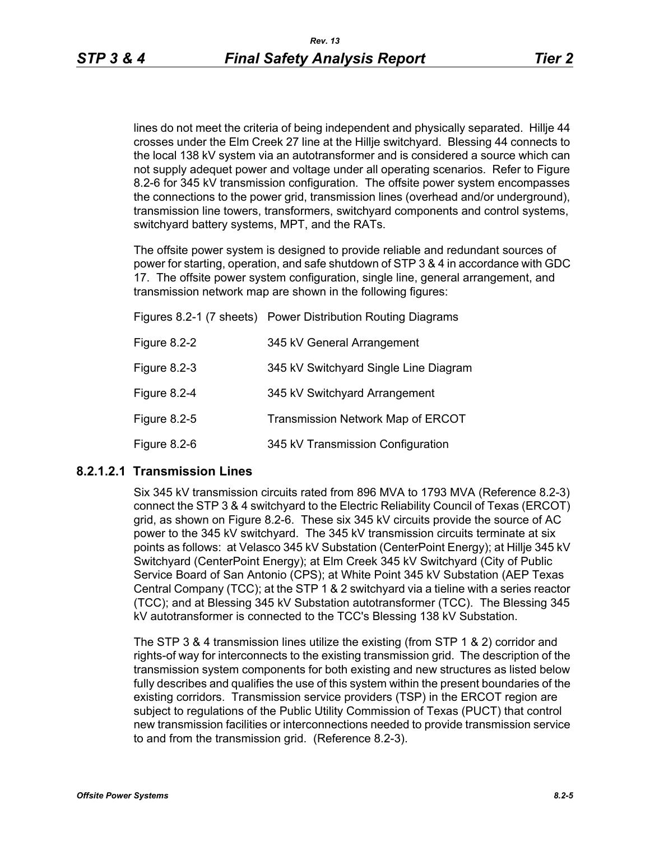lines do not meet the criteria of being independent and physically separated. Hillje 44 crosses under the Elm Creek 27 line at the Hillje switchyard. Blessing 44 connects to the local 138 kV system via an autotransformer and is considered a source which can not supply adequet power and voltage under all operating scenarios. Refer to Figure 8.2-6 for 345 kV transmission configuration. The offsite power system encompasses the connections to the power grid, transmission lines (overhead and/or underground), transmission line towers, transformers, switchyard components and control systems, switchyard battery systems, MPT, and the RATs.

The offsite power system is designed to provide reliable and redundant sources of power for starting, operation, and safe shutdown of STP 3 & 4 in accordance with GDC 17. The offsite power system configuration, single line, general arrangement, and transmission network map are shown in the following figures:

|              | Figures 8.2-1 (7 sheets) Power Distribution Routing Diagrams |
|--------------|--------------------------------------------------------------|
| Figure 8.2-2 | 345 kV General Arrangement                                   |
| Figure 8.2-3 | 345 kV Switchyard Single Line Diagram                        |
| Figure 8.2-4 | 345 kV Switchyard Arrangement                                |
| Figure 8.2-5 | <b>Transmission Network Map of ERCOT</b>                     |
| Figure 8.2-6 | 345 kV Transmission Configuration                            |

## **8.2.1.2.1 Transmission Lines**

Six 345 kV transmission circuits rated from 896 MVA to 1793 MVA (Reference 8.2-3) connect the STP 3 & 4 switchyard to the Electric Reliability Council of Texas (ERCOT) grid, as shown on Figure 8.2-6. These six 345 kV circuits provide the source of AC power to the 345 kV switchyard. The 345 kV transmission circuits terminate at six points as follows: at Velasco 345 kV Substation (CenterPoint Energy); at Hillje 345 kV Switchyard (CenterPoint Energy); at Elm Creek 345 kV Switchyard (City of Public Service Board of San Antonio (CPS); at White Point 345 kV Substation (AEP Texas Central Company (TCC); at the STP 1 & 2 switchyard via a tieline with a series reactor (TCC); and at Blessing 345 kV Substation autotransformer (TCC). The Blessing 345 kV autotransformer is connected to the TCC's Blessing 138 kV Substation.

The STP 3 & 4 transmission lines utilize the existing (from STP 1 & 2) corridor and rights-of way for interconnects to the existing transmission grid. The description of the transmission system components for both existing and new structures as listed below fully describes and qualifies the use of this system within the present boundaries of the existing corridors. Transmission service providers (TSP) in the ERCOT region are subject to regulations of the Public Utility Commission of Texas (PUCT) that control new transmission facilities or interconnections needed to provide transmission service to and from the transmission grid. (Reference 8.2-3).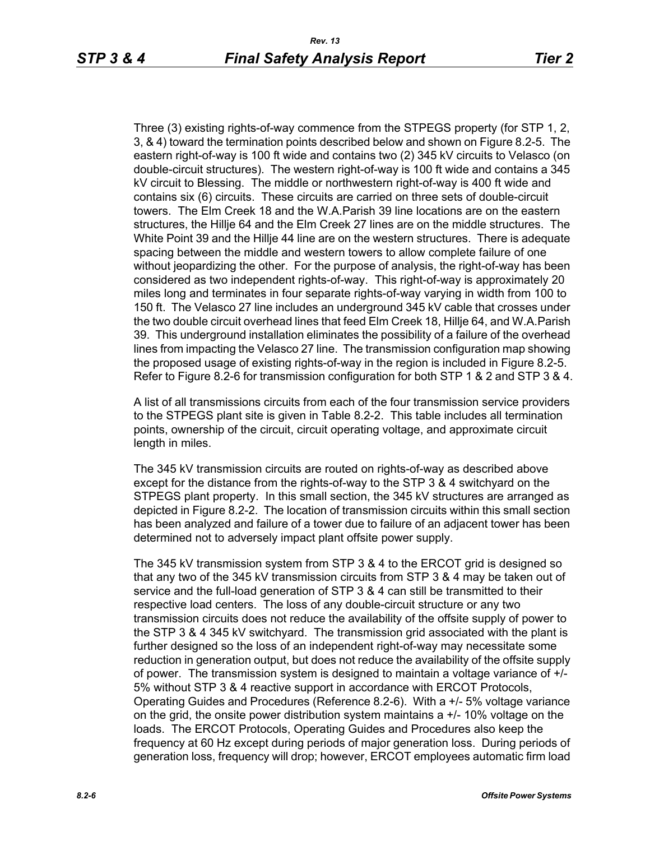Three (3) existing rights-of-way commence from the STPEGS property (for STP 1, 2, 3, & 4) toward the termination points described below and shown on Figure 8.2-5. The eastern right-of-way is 100 ft wide and contains two (2) 345 kV circuits to Velasco (on double-circuit structures). The western right-of-way is 100 ft wide and contains a 345 kV circuit to Blessing. The middle or northwestern right-of-way is 400 ft wide and contains six (6) circuits. These circuits are carried on three sets of double-circuit towers. The Elm Creek 18 and the W.A.Parish 39 line locations are on the eastern structures, the Hillje 64 and the Elm Creek 27 lines are on the middle structures. The White Point 39 and the Hillje 44 line are on the western structures. There is adequate spacing between the middle and western towers to allow complete failure of one without jeopardizing the other. For the purpose of analysis, the right-of-way has been considered as two independent rights-of-way. This right-of-way is approximately 20 miles long and terminates in four separate rights-of-way varying in width from 100 to 150 ft. The Velasco 27 line includes an underground 345 kV cable that crosses under the two double circuit overhead lines that feed Elm Creek 18, Hillje 64, and W.A.Parish 39. This underground installation eliminates the possibility of a failure of the overhead lines from impacting the Velasco 27 line. The transmission configuration map showing the proposed usage of existing rights-of-way in the region is included in Figure 8.2-5. Refer to Figure 8.2-6 for transmission configuration for both STP 1 & 2 and STP 3 & 4.

A list of all transmissions circuits from each of the four transmission service providers to the STPEGS plant site is given in Table 8.2-2. This table includes all termination points, ownership of the circuit, circuit operating voltage, and approximate circuit length in miles.

The 345 kV transmission circuits are routed on rights-of-way as described above except for the distance from the rights-of-way to the STP 3 & 4 switchyard on the STPEGS plant property. In this small section, the 345 kV structures are arranged as depicted in Figure 8.2-2. The location of transmission circuits within this small section has been analyzed and failure of a tower due to failure of an adjacent tower has been determined not to adversely impact plant offsite power supply.

The 345 kV transmission system from STP 3 & 4 to the ERCOT grid is designed so that any two of the 345 kV transmission circuits from STP 3 & 4 may be taken out of service and the full-load generation of STP 3 & 4 can still be transmitted to their respective load centers. The loss of any double-circuit structure or any two transmission circuits does not reduce the availability of the offsite supply of power to the STP 3 & 4 345 kV switchyard. The transmission grid associated with the plant is further designed so the loss of an independent right-of-way may necessitate some reduction in generation output, but does not reduce the availability of the offsite supply of power. The transmission system is designed to maintain a voltage variance of +/- 5% without STP 3 & 4 reactive support in accordance with ERCOT Protocols, Operating Guides and Procedures (Reference 8.2-6). With a +/- 5% voltage variance on the grid, the onsite power distribution system maintains a  $+/-10\%$  voltage on the loads. The ERCOT Protocols, Operating Guides and Procedures also keep the frequency at 60 Hz except during periods of major generation loss. During periods of generation loss, frequency will drop; however, ERCOT employees automatic firm load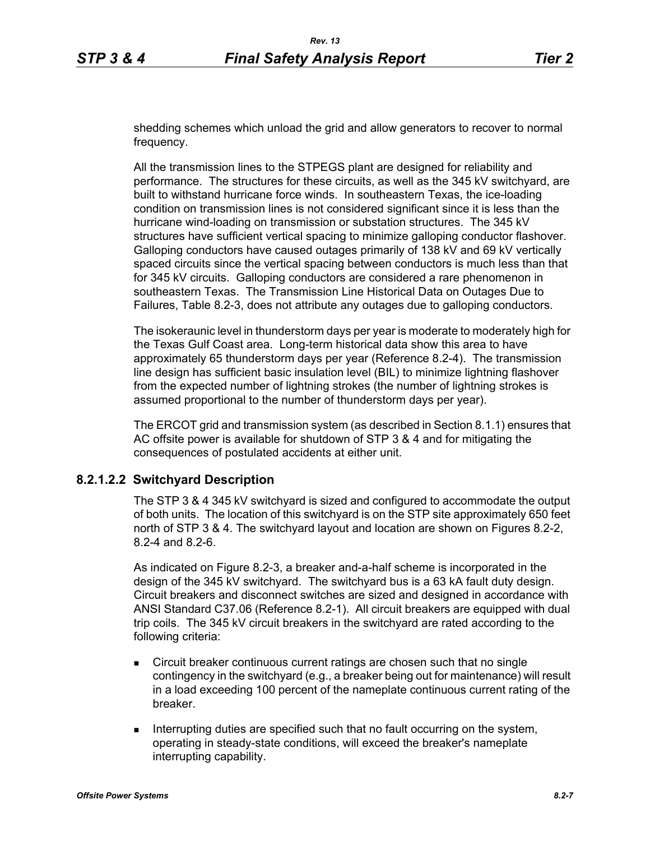shedding schemes which unload the grid and allow generators to recover to normal frequency.

All the transmission lines to the STPEGS plant are designed for reliability and performance. The structures for these circuits, as well as the 345 kV switchyard, are built to withstand hurricane force winds. In southeastern Texas, the ice-loading condition on transmission lines is not considered significant since it is less than the hurricane wind-loading on transmission or substation structures. The 345 kV structures have sufficient vertical spacing to minimize galloping conductor flashover. Galloping conductors have caused outages primarily of 138 kV and 69 kV vertically spaced circuits since the vertical spacing between conductors is much less than that for 345 kV circuits. Galloping conductors are considered a rare phenomenon in southeastern Texas. The Transmission Line Historical Data on Outages Due to Failures, Table 8.2-3, does not attribute any outages due to galloping conductors.

The isokeraunic level in thunderstorm days per year is moderate to moderately high for the Texas Gulf Coast area. Long-term historical data show this area to have approximately 65 thunderstorm days per year (Reference 8.2-4). The transmission line design has sufficient basic insulation level (BIL) to minimize lightning flashover from the expected number of lightning strokes (the number of lightning strokes is assumed proportional to the number of thunderstorm days per year).

The ERCOT grid and transmission system (as described in Section 8.1.1) ensures that AC offsite power is available for shutdown of STP 3 & 4 and for mitigating the consequences of postulated accidents at either unit.

## **8.2.1.2.2 Switchyard Description**

The STP 3 & 4 345 kV switchyard is sized and configured to accommodate the output of both units. The location of this switchyard is on the STP site approximately 650 feet north of STP 3 & 4. The switchyard layout and location are shown on Figures 8.2-2, 8.2-4 and 8.2-6.

As indicated on Figure 8.2-3, a breaker and-a-half scheme is incorporated in the design of the 345 kV switchyard. The switchyard bus is a 63 kA fault duty design. Circuit breakers and disconnect switches are sized and designed in accordance with ANSI Standard C37.06 (Reference 8.2-1). All circuit breakers are equipped with dual trip coils. The 345 kV circuit breakers in the switchyard are rated according to the following criteria:

- Circuit breaker continuous current ratings are chosen such that no single contingency in the switchyard (e.g., a breaker being out for maintenance) will result in a load exceeding 100 percent of the nameplate continuous current rating of the breaker.
- **Interrupting duties are specified such that no fault occurring on the system,** operating in steady-state conditions, will exceed the breaker's nameplate interrupting capability.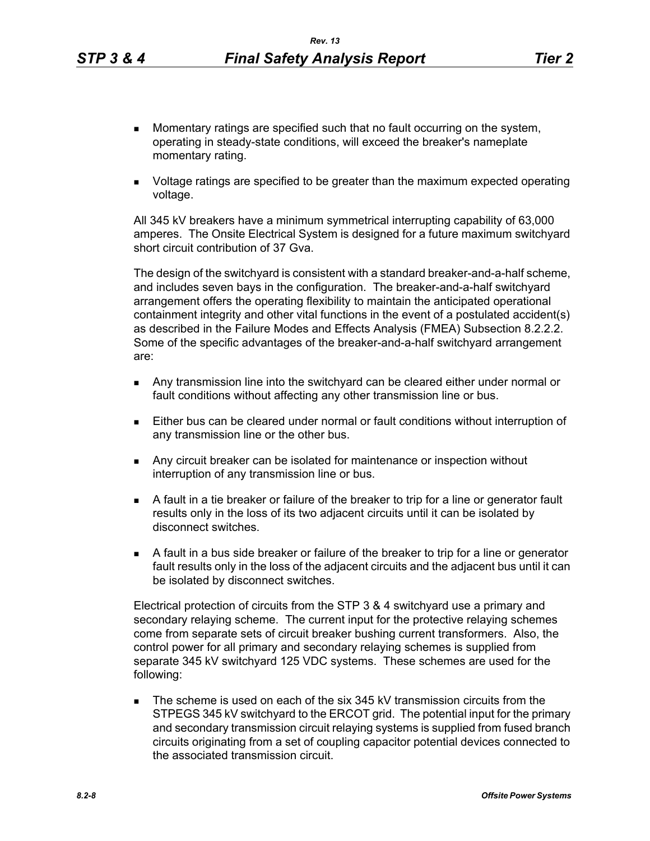- **Momentary ratings are specified such that no fault occurring on the system,** operating in steady-state conditions, will exceed the breaker's nameplate momentary rating.
- Voltage ratings are specified to be greater than the maximum expected operating voltage.

All 345 kV breakers have a minimum symmetrical interrupting capability of 63,000 amperes. The Onsite Electrical System is designed for a future maximum switchyard short circuit contribution of 37 Gva.

The design of the switchyard is consistent with a standard breaker-and-a-half scheme, and includes seven bays in the configuration. The breaker-and-a-half switchyard arrangement offers the operating flexibility to maintain the anticipated operational containment integrity and other vital functions in the event of a postulated accident(s) as described in the Failure Modes and Effects Analysis (FMEA) Subsection 8.2.2.2. Some of the specific advantages of the breaker-and-a-half switchyard arrangement are:

- Any transmission line into the switchyard can be cleared either under normal or fault conditions without affecting any other transmission line or bus.
- Either bus can be cleared under normal or fault conditions without interruption of any transmission line or the other bus.
- Any circuit breaker can be isolated for maintenance or inspection without interruption of any transmission line or bus.
- A fault in a tie breaker or failure of the breaker to trip for a line or generator fault results only in the loss of its two adjacent circuits until it can be isolated by disconnect switches.
- A fault in a bus side breaker or failure of the breaker to trip for a line or generator fault results only in the loss of the adjacent circuits and the adjacent bus until it can be isolated by disconnect switches.

Electrical protection of circuits from the STP 3 & 4 switchyard use a primary and secondary relaying scheme. The current input for the protective relaying schemes come from separate sets of circuit breaker bushing current transformers. Also, the control power for all primary and secondary relaying schemes is supplied from separate 345 kV switchyard 125 VDC systems. These schemes are used for the following:

The scheme is used on each of the six 345 kV transmission circuits from the STPEGS 345 kV switchyard to the ERCOT grid. The potential input for the primary and secondary transmission circuit relaying systems is supplied from fused branch circuits originating from a set of coupling capacitor potential devices connected to the associated transmission circuit.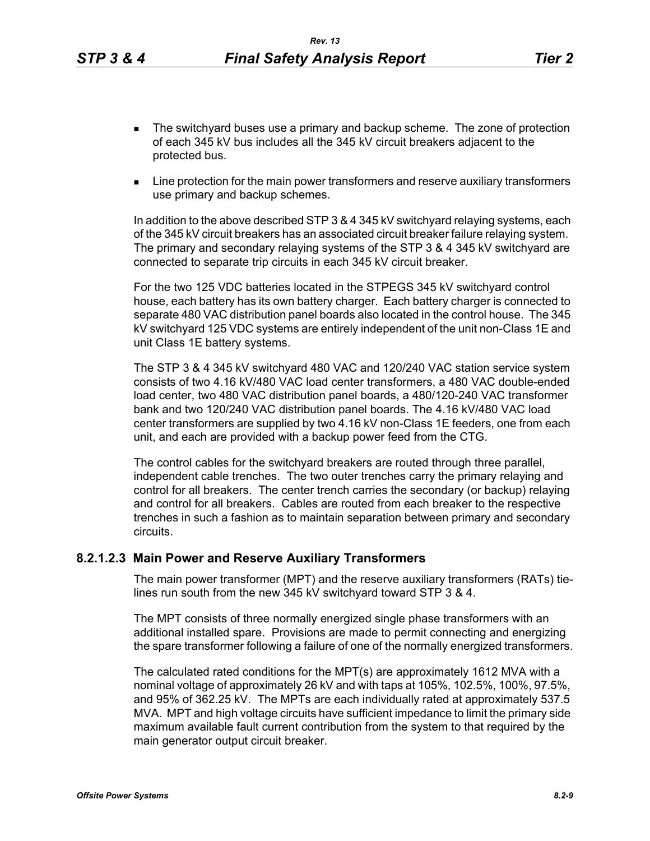- **The switchyard buses use a primary and backup scheme. The zone of protection** of each 345 kV bus includes all the 345 kV circuit breakers adjacent to the protected bus.
- **EXECT** Line protection for the main power transformers and reserve auxiliary transformers use primary and backup schemes.

In addition to the above described STP 3 & 4 345 kV switchyard relaying systems, each of the 345 kV circuit breakers has an associated circuit breaker failure relaying system. The primary and secondary relaying systems of the STP 3 & 4 345 kV switchyard are connected to separate trip circuits in each 345 kV circuit breaker.

For the two 125 VDC batteries located in the STPEGS 345 kV switchyard control house, each battery has its own battery charger. Each battery charger is connected to separate 480 VAC distribution panel boards also located in the control house. The 345 kV switchyard 125 VDC systems are entirely independent of the unit non-Class 1E and unit Class 1E battery systems.

The STP 3 & 4 345 kV switchyard 480 VAC and 120/240 VAC station service system consists of two 4.16 kV/480 VAC load center transformers, a 480 VAC double-ended load center, two 480 VAC distribution panel boards, a 480/120-240 VAC transformer bank and two 120/240 VAC distribution panel boards. The 4.16 kV/480 VAC load center transformers are supplied by two 4.16 kV non-Class 1E feeders, one from each unit, and each are provided with a backup power feed from the CTG.

The control cables for the switchyard breakers are routed through three parallel, independent cable trenches. The two outer trenches carry the primary relaying and control for all breakers. The center trench carries the secondary (or backup) relaying and control for all breakers. Cables are routed from each breaker to the respective trenches in such a fashion as to maintain separation between primary and secondary circuits.

#### **8.2.1.2.3 Main Power and Reserve Auxiliary Transformers**

The main power transformer (MPT) and the reserve auxiliary transformers (RATs) tielines run south from the new 345 kV switchyard toward STP 3 & 4.

The MPT consists of three normally energized single phase transformers with an additional installed spare. Provisions are made to permit connecting and energizing the spare transformer following a failure of one of the normally energized transformers.

The calculated rated conditions for the MPT(s) are approximately 1612 MVA with a nominal voltage of approximately 26 kV and with taps at 105%, 102.5%, 100%, 97.5%, and 95% of 362.25 kV. The MPTs are each individually rated at approximately 537.5 MVA. MPT and high voltage circuits have sufficient impedance to limit the primary side maximum available fault current contribution from the system to that required by the main generator output circuit breaker.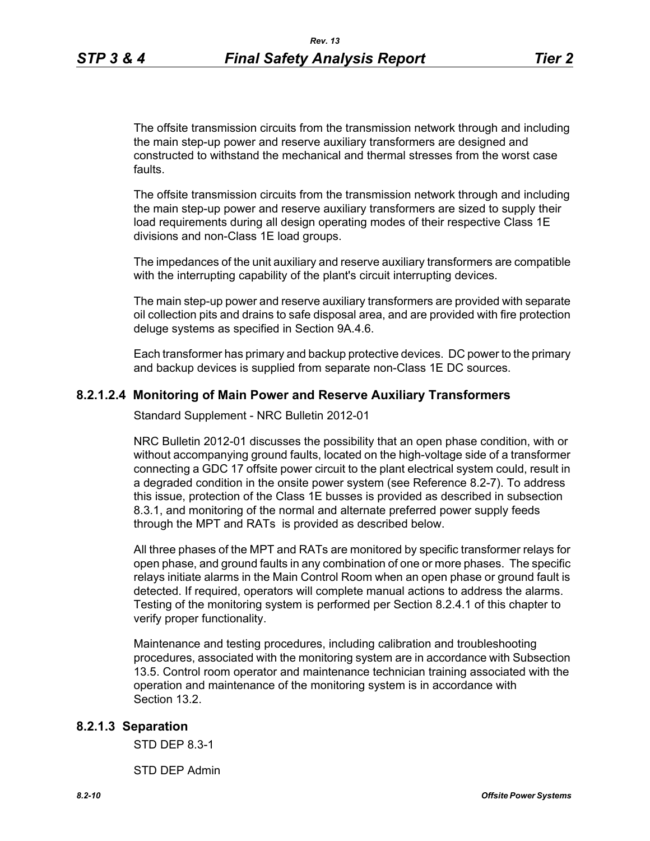The offsite transmission circuits from the transmission network through and including the main step-up power and reserve auxiliary transformers are designed and constructed to withstand the mechanical and thermal stresses from the worst case faults.

The offsite transmission circuits from the transmission network through and including the main step-up power and reserve auxiliary transformers are sized to supply their load requirements during all design operating modes of their respective Class 1E divisions and non-Class 1E load groups.

The impedances of the unit auxiliary and reserve auxiliary transformers are compatible with the interrupting capability of the plant's circuit interrupting devices.

The main step-up power and reserve auxiliary transformers are provided with separate oil collection pits and drains to safe disposal area, and are provided with fire protection deluge systems as specified in Section 9A.4.6.

Each transformer has primary and backup protective devices. DC power to the primary and backup devices is supplied from separate non-Class 1E DC sources.

### **8.2.1.2.4 Monitoring of Main Power and Reserve Auxiliary Transformers**

Standard Supplement - NRC Bulletin 2012-01

NRC Bulletin 2012-01 discusses the possibility that an open phase condition, with or without accompanying ground faults, located on the high-voltage side of a transformer connecting a GDC 17 offsite power circuit to the plant electrical system could, result in a degraded condition in the onsite power system (see Reference 8.2-7). To address this issue, protection of the Class 1E busses is provided as described in subsection 8.3.1, and monitoring of the normal and alternate preferred power supply feeds through the MPT and RATs is provided as described below.

All three phases of the MPT and RATs are monitored by specific transformer relays for open phase, and ground faults in any combination of one or more phases. The specific relays initiate alarms in the Main Control Room when an open phase or ground fault is detected. If required, operators will complete manual actions to address the alarms. Testing of the monitoring system is performed per Section 8.2.4.1 of this chapter to verify proper functionality.

Maintenance and testing procedures, including calibration and troubleshooting procedures, associated with the monitoring system are in accordance with Subsection 13.5. Control room operator and maintenance technician training associated with the operation and maintenance of the monitoring system is in accordance with Section 13.2.

#### **8.2.1.3 Separation**

STD DEP 8.3-1

STD DEP Admin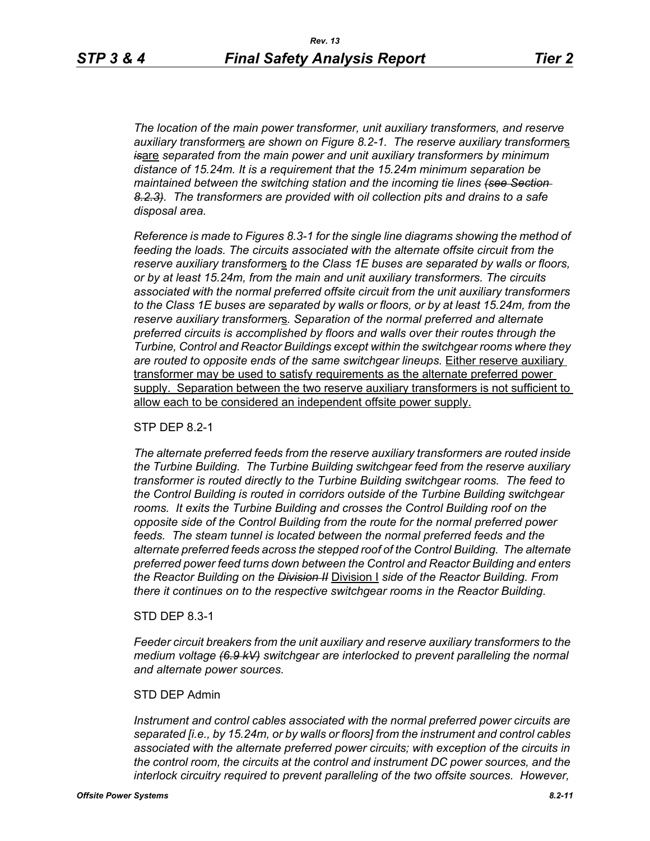*The location of the main power transformer, unit auxiliary transformers, and reserve auxiliary transformer*s *are shown on Figure 8.2-1. The reserve auxiliary transformer*s *is*are *separated from the main power and unit auxiliary transformers by minimum distance of 15.24m. It is a requirement that the 15.24m minimum separation be maintained between the switching station and the incoming tie lines (see Section 8.2.3). The transformers are provided with oil collection pits and drains to a safe disposal area.*

*Reference is made to Figures 8.3-1 for the single line diagrams showing the method of feeding the loads. The circuits associated with the alternate offsite circuit from the reserve auxiliary transformer*s *to the Class 1E buses are separated by walls or floors, or by at least 15.24m, from the main and unit auxiliary transformers. The circuits associated with the normal preferred offsite circuit from the unit auxiliary transformers to the Class 1E buses are separated by walls or floors, or by at least 15.24m, from the reserve auxiliary transformer*s*. Separation of the normal preferred and alternate preferred circuits is accomplished by floors and walls over their routes through the Turbine, Control and Reactor Buildings except within the switchgear rooms where they are routed to opposite ends of the same switchgear lineups.* Either reserve auxiliary transformer may be used to satisfy requirements as the alternate preferred power supply. Separation between the two reserve auxiliary transformers is not sufficient to allow each to be considered an independent offsite power supply.

#### STP DEP 8.2-1

*The alternate preferred feeds from the reserve auxiliary transformers are routed inside the Turbine Building. The Turbine Building switchgear feed from the reserve auxiliary transformer is routed directly to the Turbine Building switchgear rooms. The feed to the Control Building is routed in corridors outside of the Turbine Building switchgear rooms. It exits the Turbine Building and crosses the Control Building roof on the opposite side of the Control Building from the route for the normal preferred power*  feeds. The steam tunnel is located between the normal preferred feeds and the *alternate preferred feeds across the stepped roof of the Control Building. The alternate preferred power feed turns down between the Control and Reactor Building and enters the Reactor Building on the Division II* Division I *side of the Reactor Building. From there it continues on to the respective switchgear rooms in the Reactor Building.*

#### STD DEP 8.3-1

*Feeder circuit breakers from the unit auxiliary and reserve auxiliary transformers to the medium voltage (6.9 kV) switchgear are interlocked to prevent paralleling the normal and alternate power sources.*

#### STD DEP Admin

*Instrument and control cables associated with the normal preferred power circuits are separated [i.e., by 15.24m, or by walls or floors] from the instrument and control cables associated with the alternate preferred power circuits; with exception of the circuits in the control room, the circuits at the control and instrument DC power sources, and the interlock circuitry required to prevent paralleling of the two offsite sources. However,*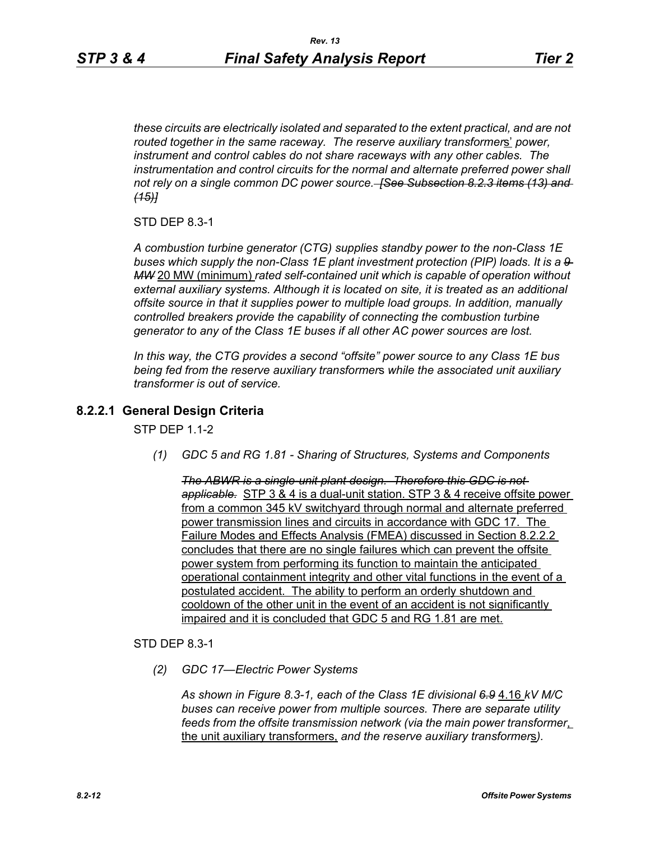*these circuits are electrically isolated and separated to the extent practical, and are not routed together in the same raceway. The reserve auxiliary transformer*s' *power, instrument and control cables do not share raceways with any other cables. The*  instrumentation and control circuits for the normal and alternate preferred power shall *not rely on a single common DC power source. [See Subsection 8.2.3 items (13) and (15)]*

STD DEP 8.3-1

*A combustion turbine generator (CTG) supplies standby power to the non-Class 1E buses which supply the non-Class 1E plant investment protection (PIP) loads. It is a 9 MW* 20 MW (minimum) *rated self-contained unit which is capable of operation without external auxiliary systems. Although it is located on site, it is treated as an additional offsite source in that it supplies power to multiple load groups. In addition, manually controlled breakers provide the capability of connecting the combustion turbine generator to any of the Class 1E buses if all other AC power sources are lost.*

*In this way, the CTG provides a second "offsite" power source to any Class 1E bus being fed from the reserve auxiliary transformer*s *while the associated unit auxiliary transformer is out of service.*

# **8.2.2.1 General Design Criteria**

**STP DFP 1 1-2** 

*(1) GDC 5 and RG 1.81 - Sharing of Structures, Systems and Components*

*The ABWR is a single-unit plant design. Therefore this GDC is not applicable.* STP 3 & 4 is a dual-unit station. STP 3 & 4 receive offsite power from a common 345 kV switchyard through normal and alternate preferred power transmission lines and circuits in accordance with GDC 17. The Failure Modes and Effects Analysis (FMEA) discussed in Section 8.2.2.2 concludes that there are no single failures which can prevent the offsite power system from performing its function to maintain the anticipated operational containment integrity and other vital functions in the event of a postulated accident. The ability to perform an orderly shutdown and cooldown of the other unit in the event of an accident is not significantly impaired and it is concluded that GDC 5 and RG 1.81 are met.

STD DEP 8.3-1

*(2) GDC 17—Electric Power Systems*

*As shown in Figure 8.3-1, each of the Class 1E divisional 6.9* 4.16 *kV M/C buses can receive power from multiple sources. There are separate utility feeds from the offsite transmission network (via the main power transformer*, the unit auxiliary transformers, *and the reserve auxiliary transformer*s*).*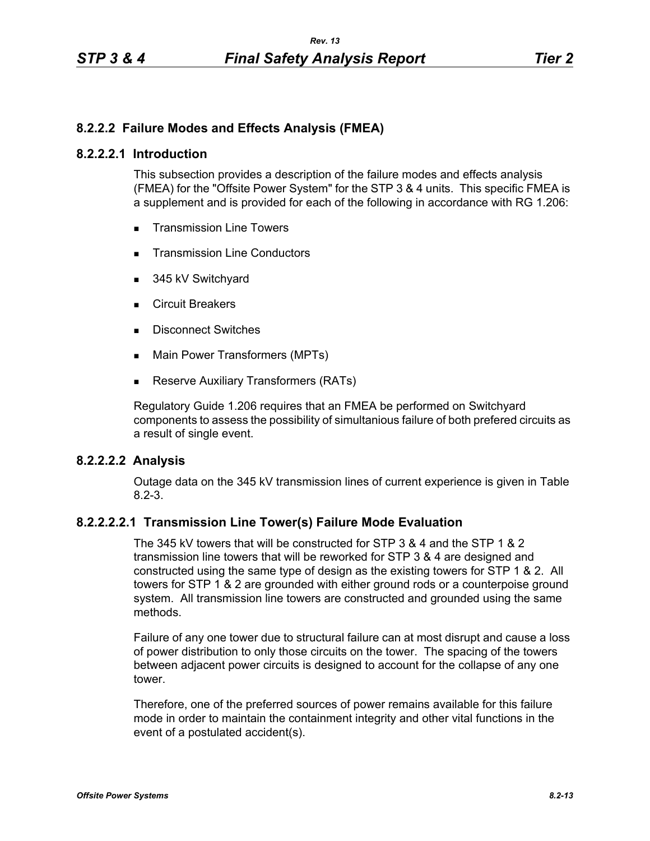# **8.2.2.2 Failure Modes and Effects Analysis (FMEA)**

### **8.2.2.2.1 Introduction**

This subsection provides a description of the failure modes and effects analysis (FMEA) for the "Offsite Power System" for the STP 3 & 4 units. This specific FMEA is a supplement and is provided for each of the following in accordance with RG 1.206:

- **Transmission Line Towers**
- **Transmission Line Conductors**
- 345 kV Switchyard
- Circuit Breakers
- Disconnect Switches
- Main Power Transformers (MPTs)
- **Reserve Auxiliary Transformers (RATs)**

Regulatory Guide 1.206 requires that an FMEA be performed on Switchyard components to assess the possibility of simultanious failure of both prefered circuits as a result of single event.

# **8.2.2.2.2 Analysis**

Outage data on the 345 kV transmission lines of current experience is given in Table 8.2-3.

## **8.2.2.2.2.1 Transmission Line Tower(s) Failure Mode Evaluation**

The 345 kV towers that will be constructed for STP 3 & 4 and the STP 1 & 2 transmission line towers that will be reworked for STP 3 & 4 are designed and constructed using the same type of design as the existing towers for STP 1 & 2. All towers for STP 1 & 2 are grounded with either ground rods or a counterpoise ground system. All transmission line towers are constructed and grounded using the same methods.

Failure of any one tower due to structural failure can at most disrupt and cause a loss of power distribution to only those circuits on the tower. The spacing of the towers between adjacent power circuits is designed to account for the collapse of any one tower.

Therefore, one of the preferred sources of power remains available for this failure mode in order to maintain the containment integrity and other vital functions in the event of a postulated accident(s).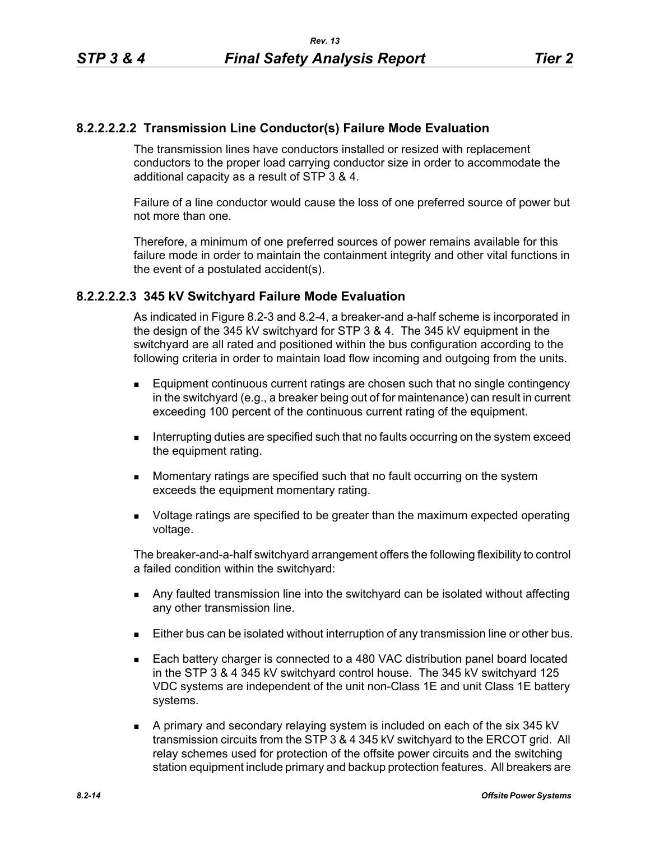# **8.2.2.2.2.2 Transmission Line Conductor(s) Failure Mode Evaluation**

The transmission lines have conductors installed or resized with replacement conductors to the proper load carrying conductor size in order to accommodate the additional capacity as a result of STP 3 & 4.

Failure of a line conductor would cause the loss of one preferred source of power but not more than one.

Therefore, a minimum of one preferred sources of power remains available for this failure mode in order to maintain the containment integrity and other vital functions in the event of a postulated accident(s).

## **8.2.2.2.2.3 345 kV Switchyard Failure Mode Evaluation**

As indicated in Figure 8.2-3 and 8.2-4, a breaker-and a-half scheme is incorporated in the design of the 345 kV switchyard for STP 3 & 4. The 345 kV equipment in the switchyard are all rated and positioned within the bus configuration according to the following criteria in order to maintain load flow incoming and outgoing from the units.

- **Equipment continuous current ratings are chosen such that no single contingency** in the switchyard (e.g., a breaker being out of for maintenance) can result in current exceeding 100 percent of the continuous current rating of the equipment.
- **Interrupting duties are specified such that no faults occurring on the system exceed** the equipment rating.
- **Momentary ratings are specified such that no fault occurring on the system** exceeds the equipment momentary rating.
- Voltage ratings are specified to be greater than the maximum expected operating voltage.

The breaker-and-a-half switchyard arrangement offers the following flexibility to control a failed condition within the switchyard:

- **Any faulted transmission line into the switchyard can be isolated without affecting** any other transmission line.
- Either bus can be isolated without interruption of any transmission line or other bus.
- Each battery charger is connected to a 480 VAC distribution panel board located in the STP 3 & 4 345 kV switchyard control house. The 345 kV switchyard 125 VDC systems are independent of the unit non-Class 1E and unit Class 1E battery systems.
- A primary and secondary relaying system is included on each of the six 345 kV transmission circuits from the STP 3 & 4 345 kV switchyard to the ERCOT grid. All relay schemes used for protection of the offsite power circuits and the switching station equipment include primary and backup protection features. All breakers are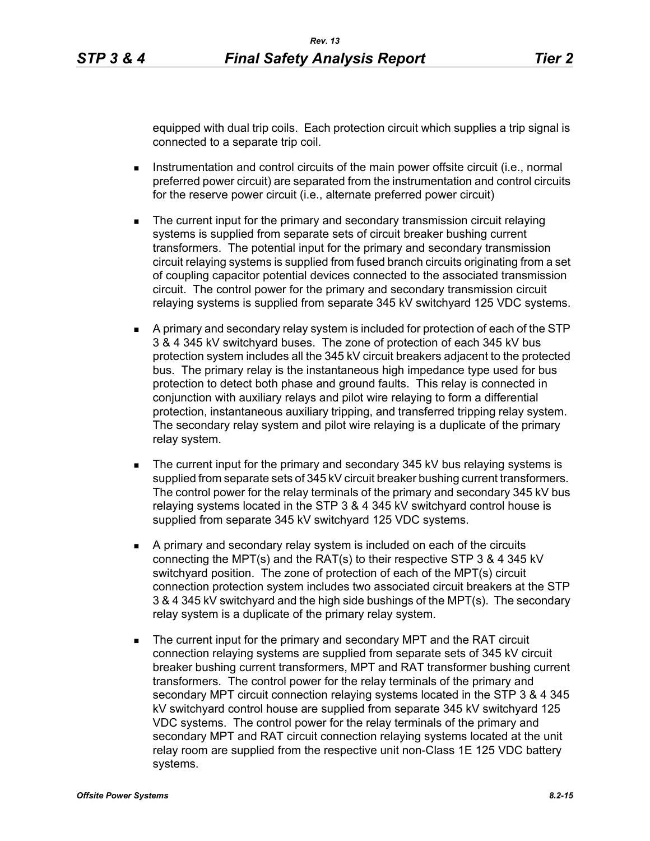equipped with dual trip coils. Each protection circuit which supplies a trip signal is connected to a separate trip coil.

- **Instrumentation and control circuits of the main power offsite circuit (i.e., normal** preferred power circuit) are separated from the instrumentation and control circuits for the reserve power circuit (i.e., alternate preferred power circuit)
- **The current input for the primary and secondary transmission circuit relaying** systems is supplied from separate sets of circuit breaker bushing current transformers. The potential input for the primary and secondary transmission circuit relaying systems is supplied from fused branch circuits originating from a set of coupling capacitor potential devices connected to the associated transmission circuit. The control power for the primary and secondary transmission circuit relaying systems is supplied from separate 345 kV switchyard 125 VDC systems.
- A primary and secondary relay system is included for protection of each of the STP 3 & 4 345 kV switchyard buses. The zone of protection of each 345 kV bus protection system includes all the 345 kV circuit breakers adjacent to the protected bus. The primary relay is the instantaneous high impedance type used for bus protection to detect both phase and ground faults. This relay is connected in conjunction with auxiliary relays and pilot wire relaying to form a differential protection, instantaneous auxiliary tripping, and transferred tripping relay system. The secondary relay system and pilot wire relaying is a duplicate of the primary relay system.
- The current input for the primary and secondary 345 kV bus relaying systems is supplied from separate sets of 345 kV circuit breaker bushing current transformers. The control power for the relay terminals of the primary and secondary 345 kV bus relaying systems located in the STP 3 & 4 345 kV switchyard control house is supplied from separate 345 kV switchyard 125 VDC systems.
- A primary and secondary relay system is included on each of the circuits connecting the MPT(s) and the RAT(s) to their respective STP 3 & 4 345 kV switchyard position. The zone of protection of each of the MPT(s) circuit connection protection system includes two associated circuit breakers at the STP 3 & 4 345 kV switchyard and the high side bushings of the MPT(s). The secondary relay system is a duplicate of the primary relay system.
- The current input for the primary and secondary MPT and the RAT circuit connection relaying systems are supplied from separate sets of 345 kV circuit breaker bushing current transformers, MPT and RAT transformer bushing current transformers. The control power for the relay terminals of the primary and secondary MPT circuit connection relaying systems located in the STP 3 & 4 345 kV switchyard control house are supplied from separate 345 kV switchyard 125 VDC systems. The control power for the relay terminals of the primary and secondary MPT and RAT circuit connection relaying systems located at the unit relay room are supplied from the respective unit non-Class 1E 125 VDC battery systems.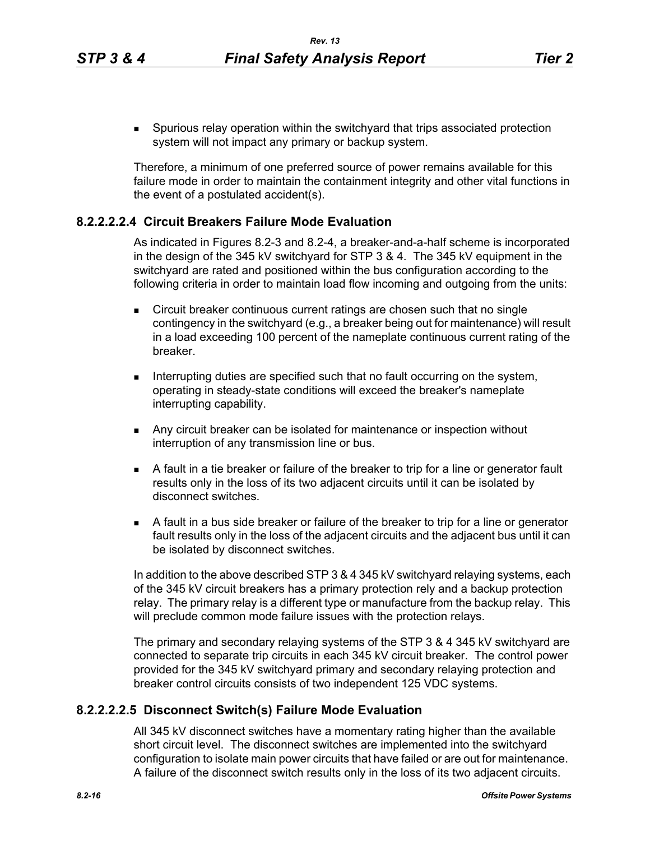Spurious relay operation within the switchyard that trips associated protection system will not impact any primary or backup system.

Therefore, a minimum of one preferred source of power remains available for this failure mode in order to maintain the containment integrity and other vital functions in the event of a postulated accident(s).

### **8.2.2.2.2.4 Circuit Breakers Failure Mode Evaluation**

As indicated in Figures 8.2-3 and 8.2-4, a breaker-and-a-half scheme is incorporated in the design of the 345 kV switchyard for STP 3 & 4. The 345 kV equipment in the switchyard are rated and positioned within the bus configuration according to the following criteria in order to maintain load flow incoming and outgoing from the units:

- **Circuit breaker continuous current ratings are chosen such that no single** contingency in the switchyard (e.g., a breaker being out for maintenance) will result in a load exceeding 100 percent of the nameplate continuous current rating of the breaker.
- Interrupting duties are specified such that no fault occurring on the system, operating in steady-state conditions will exceed the breaker's nameplate interrupting capability.
- **Any circuit breaker can be isolated for maintenance or inspection without** interruption of any transmission line or bus.
- A fault in a tie breaker or failure of the breaker to trip for a line or generator fault results only in the loss of its two adjacent circuits until it can be isolated by disconnect switches.
- A fault in a bus side breaker or failure of the breaker to trip for a line or generator fault results only in the loss of the adjacent circuits and the adjacent bus until it can be isolated by disconnect switches.

In addition to the above described STP 3 & 4 345 kV switchyard relaying systems, each of the 345 kV circuit breakers has a primary protection rely and a backup protection relay. The primary relay is a different type or manufacture from the backup relay. This will preclude common mode failure issues with the protection relays.

The primary and secondary relaying systems of the STP 3 & 4 345 kV switchyard are connected to separate trip circuits in each 345 kV circuit breaker. The control power provided for the 345 kV switchyard primary and secondary relaying protection and breaker control circuits consists of two independent 125 VDC systems.

## **8.2.2.2.2.5 Disconnect Switch(s) Failure Mode Evaluation**

All 345 kV disconnect switches have a momentary rating higher than the available short circuit level. The disconnect switches are implemented into the switchyard configuration to isolate main power circuits that have failed or are out for maintenance. A failure of the disconnect switch results only in the loss of its two adjacent circuits.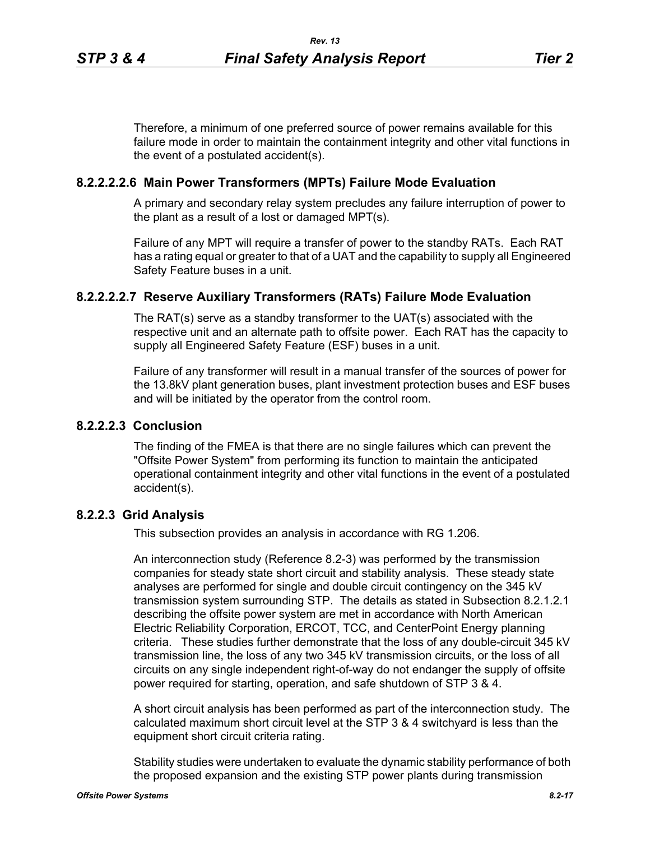Therefore, a minimum of one preferred source of power remains available for this failure mode in order to maintain the containment integrity and other vital functions in the event of a postulated accident(s).

### **8.2.2.2.2.6 Main Power Transformers (MPTs) Failure Mode Evaluation**

A primary and secondary relay system precludes any failure interruption of power to the plant as a result of a lost or damaged MPT(s).

Failure of any MPT will require a transfer of power to the standby RATs. Each RAT has a rating equal or greater to that of a UAT and the capability to supply all Engineered Safety Feature buses in a unit.

## **8.2.2.2.2.7 Reserve Auxiliary Transformers (RATs) Failure Mode Evaluation**

The RAT(s) serve as a standby transformer to the UAT(s) associated with the respective unit and an alternate path to offsite power. Each RAT has the capacity to supply all Engineered Safety Feature (ESF) buses in a unit.

Failure of any transformer will result in a manual transfer of the sources of power for the 13.8kV plant generation buses, plant investment protection buses and ESF buses and will be initiated by the operator from the control room.

## **8.2.2.2.3 Conclusion**

The finding of the FMEA is that there are no single failures which can prevent the "Offsite Power System" from performing its function to maintain the anticipated operational containment integrity and other vital functions in the event of a postulated accident(s).

### **8.2.2.3 Grid Analysis**

This subsection provides an analysis in accordance with RG 1.206.

An interconnection study (Reference 8.2-3) was performed by the transmission companies for steady state short circuit and stability analysis. These steady state analyses are performed for single and double circuit contingency on the 345 kV transmission system surrounding STP. The details as stated in Subsection 8.2.1.2.1 describing the offsite power system are met in accordance with North American Electric Reliability Corporation, ERCOT, TCC, and CenterPoint Energy planning criteria. These studies further demonstrate that the loss of any double-circuit 345 kV transmission line, the loss of any two 345 kV transmission circuits, or the loss of all circuits on any single independent right-of-way do not endanger the supply of offsite power required for starting, operation, and safe shutdown of STP 3 & 4.

A short circuit analysis has been performed as part of the interconnection study. The calculated maximum short circuit level at the STP 3 & 4 switchyard is less than the equipment short circuit criteria rating.

Stability studies were undertaken to evaluate the dynamic stability performance of both the proposed expansion and the existing STP power plants during transmission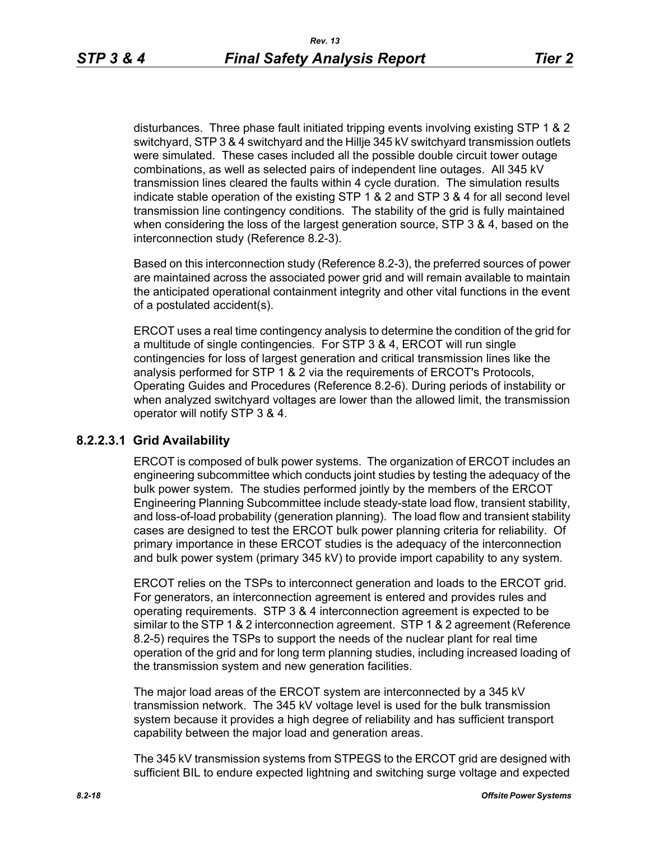disturbances. Three phase fault initiated tripping events involving existing STP 1 & 2 switchyard, STP 3 & 4 switchyard and the Hillje 345 kV switchyard transmission outlets were simulated. These cases included all the possible double circuit tower outage combinations, as well as selected pairs of independent line outages. All 345 kV transmission lines cleared the faults within 4 cycle duration. The simulation results indicate stable operation of the existing STP 1 & 2 and STP 3 & 4 for all second level transmission line contingency conditions. The stability of the grid is fully maintained when considering the loss of the largest generation source, STP 3 & 4, based on the interconnection study (Reference 8.2-3).

Based on this interconnection study (Reference 8.2-3), the preferred sources of power are maintained across the associated power grid and will remain available to maintain the anticipated operational containment integrity and other vital functions in the event of a postulated accident(s).

ERCOT uses a real time contingency analysis to determine the condition of the grid for a multitude of single contingencies. For STP 3 & 4, ERCOT will run single contingencies for loss of largest generation and critical transmission lines like the analysis performed for STP 1 & 2 via the requirements of ERCOT's Protocols, Operating Guides and Procedures (Reference 8.2-6). During periods of instability or when analyzed switchyard voltages are lower than the allowed limit, the transmission operator will notify STP 3 & 4.

# **8.2.2.3.1 Grid Availability**

ERCOT is composed of bulk power systems. The organization of ERCOT includes an engineering subcommittee which conducts joint studies by testing the adequacy of the bulk power system. The studies performed jointly by the members of the ERCOT Engineering Planning Subcommittee include steady-state load flow, transient stability, and loss-of-load probability (generation planning). The load flow and transient stability cases are designed to test the ERCOT bulk power planning criteria for reliability. Of primary importance in these ERCOT studies is the adequacy of the interconnection and bulk power system (primary 345 kV) to provide import capability to any system.

ERCOT relies on the TSPs to interconnect generation and loads to the ERCOT grid. For generators, an interconnection agreement is entered and provides rules and operating requirements. STP 3 & 4 interconnection agreement is expected to be similar to the STP 1 & 2 interconnection agreement. STP 1 & 2 agreement (Reference 8.2-5) requires the TSPs to support the needs of the nuclear plant for real time operation of the grid and for long term planning studies, including increased loading of the transmission system and new generation facilities.

The major load areas of the ERCOT system are interconnected by a 345 kV transmission network. The 345 kV voltage level is used for the bulk transmission system because it provides a high degree of reliability and has sufficient transport capability between the major load and generation areas.

The 345 kV transmission systems from STPEGS to the ERCOT grid are designed with sufficient BIL to endure expected lightning and switching surge voltage and expected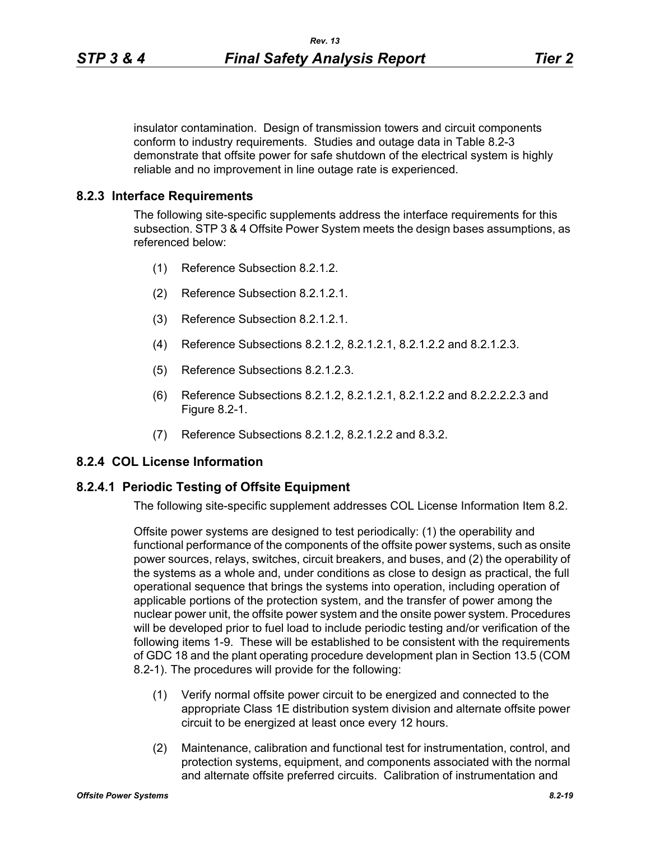insulator contamination. Design of transmission towers and circuit components conform to industry requirements. Studies and outage data in Table 8.2-3 demonstrate that offsite power for safe shutdown of the electrical system is highly reliable and no improvement in line outage rate is experienced.

### **8.2.3 Interface Requirements**

The following site-specific supplements address the interface requirements for this subsection. STP 3 & 4 Offsite Power System meets the design bases assumptions, as referenced below:

- (1) Reference Subsection 8.2.1.2.
- (2) Reference Subsection 8.2.1.2.1.
- (3) Reference Subsection 8.2.1.2.1.
- (4) Reference Subsections 8.2.1.2, 8.2.1.2.1, 8.2.1.2.2 and 8.2.1.2.3.
- (5) Reference Subsections 8.2.1.2.3.
- (6) Reference Subsections 8.2.1.2, 8.2.1.2.1, 8.2.1.2.2 and 8.2.2.2.2.3 and Figure 8.2-1.
- (7) Reference Subsections 8.2.1.2, 8.2.1.2.2 and 8.3.2.

## **8.2.4 COL License Information**

#### **8.2.4.1 Periodic Testing of Offsite Equipment**

The following site-specific supplement addresses COL License Information Item 8.2.

Offsite power systems are designed to test periodically: (1) the operability and functional performance of the components of the offsite power systems, such as onsite power sources, relays, switches, circuit breakers, and buses, and (2) the operability of the systems as a whole and, under conditions as close to design as practical, the full operational sequence that brings the systems into operation, including operation of applicable portions of the protection system, and the transfer of power among the nuclear power unit, the offsite power system and the onsite power system. Procedures will be developed prior to fuel load to include periodic testing and/or verification of the following items 1-9. These will be established to be consistent with the requirements of GDC 18 and the plant operating procedure development plan in Section 13.5 (COM 8.2-1). The procedures will provide for the following:

- (1) Verify normal offsite power circuit to be energized and connected to the appropriate Class 1E distribution system division and alternate offsite power circuit to be energized at least once every 12 hours.
- (2) Maintenance, calibration and functional test for instrumentation, control, and protection systems, equipment, and components associated with the normal and alternate offsite preferred circuits. Calibration of instrumentation and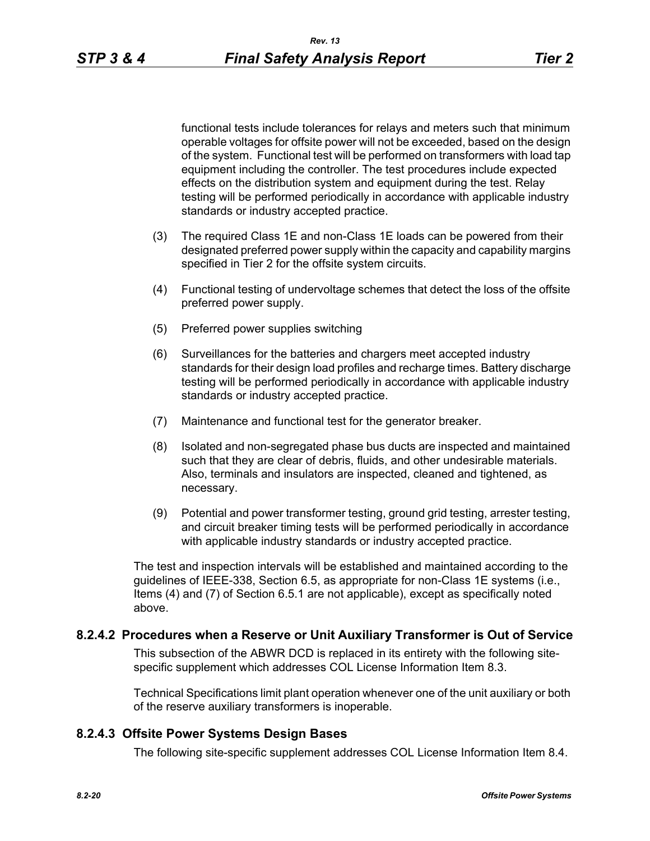functional tests include tolerances for relays and meters such that minimum operable voltages for offsite power will not be exceeded, based on the design of the system. Functional test will be performed on transformers with load tap equipment including the controller. The test procedures include expected effects on the distribution system and equipment during the test. Relay testing will be performed periodically in accordance with applicable industry standards or industry accepted practice.

- (3) The required Class 1E and non-Class 1E loads can be powered from their designated preferred power supply within the capacity and capability margins specified in Tier 2 for the offsite system circuits.
- (4) Functional testing of undervoltage schemes that detect the loss of the offsite preferred power supply.
- (5) Preferred power supplies switching
- (6) Surveillances for the batteries and chargers meet accepted industry standards for their design load profiles and recharge times. Battery discharge testing will be performed periodically in accordance with applicable industry standards or industry accepted practice.
- (7) Maintenance and functional test for the generator breaker.
- (8) Isolated and non-segregated phase bus ducts are inspected and maintained such that they are clear of debris, fluids, and other undesirable materials. Also, terminals and insulators are inspected, cleaned and tightened, as necessary.
- (9) Potential and power transformer testing, ground grid testing, arrester testing, and circuit breaker timing tests will be performed periodically in accordance with applicable industry standards or industry accepted practice.

The test and inspection intervals will be established and maintained according to the guidelines of IEEE-338, Section 6.5, as appropriate for non-Class 1E systems (i.e., Items (4) and (7) of Section 6.5.1 are not applicable), except as specifically noted above.

## **8.2.4.2 Procedures when a Reserve or Unit Auxiliary Transformer is Out of Service**

This subsection of the ABWR DCD is replaced in its entirety with the following sitespecific supplement which addresses COL License Information Item 8.3.

Technical Specifications limit plant operation whenever one of the unit auxiliary or both of the reserve auxiliary transformers is inoperable.

#### **8.2.4.3 Offsite Power Systems Design Bases**

The following site-specific supplement addresses COL License Information Item 8.4.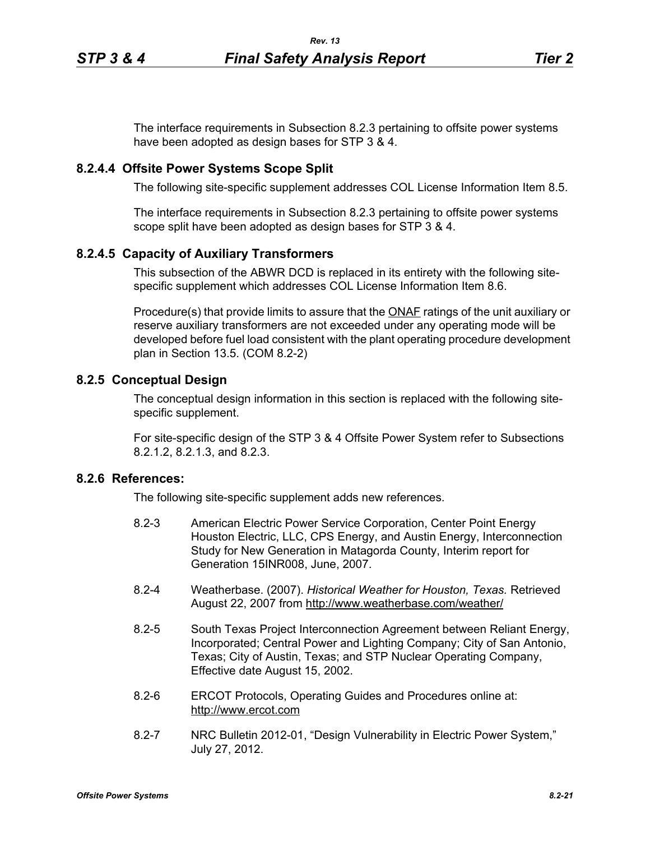The interface requirements in Subsection 8.2.3 pertaining to offsite power systems have been adopted as design bases for STP 3 & 4.

### **8.2.4.4 Offsite Power Systems Scope Split**

The following site-specific supplement addresses COL License Information Item 8.5.

The interface requirements in Subsection 8.2.3 pertaining to offsite power systems scope split have been adopted as design bases for STP 3 & 4.

# **8.2.4.5 Capacity of Auxiliary Transformers**

This subsection of the ABWR DCD is replaced in its entirety with the following sitespecific supplement which addresses COL License Information Item 8.6.

Procedure(s) that provide limits to assure that the **ONAF** ratings of the unit auxiliary or reserve auxiliary transformers are not exceeded under any operating mode will be developed before fuel load consistent with the plant operating procedure development plan in Section 13.5. (COM 8.2-2)

### **8.2.5 Conceptual Design**

The conceptual design information in this section is replaced with the following sitespecific supplement.

For site-specific design of the STP 3 & 4 Offsite Power System refer to Subsections 8.2.1.2, 8.2.1.3, and 8.2.3.

# **8.2.6 References:**

The following site-specific supplement adds new references.

- 8.2-3 American Electric Power Service Corporation, Center Point Energy Houston Electric, LLC, CPS Energy, and Austin Energy, Interconnection Study for New Generation in Matagorda County, Interim report for Generation 15INR008, June, 2007.
- 8.2-4 Weatherbase. (2007). *Historical Weather for Houston, Texas.* Retrieved August 22, 2007 from http://www.weatherbase.com/weather/
- 8.2-5 South Texas Project Interconnection Agreement between Reliant Energy, Incorporated; Central Power and Lighting Company; City of San Antonio, Texas; City of Austin, Texas; and STP Nuclear Operating Company, Effective date August 15, 2002.
- 8.2-6 ERCOT Protocols, Operating Guides and Procedures online at: http://www.ercot.com
- 8.2-7 NRC Bulletin 2012-01, "Design Vulnerability in Electric Power System," July 27, 2012.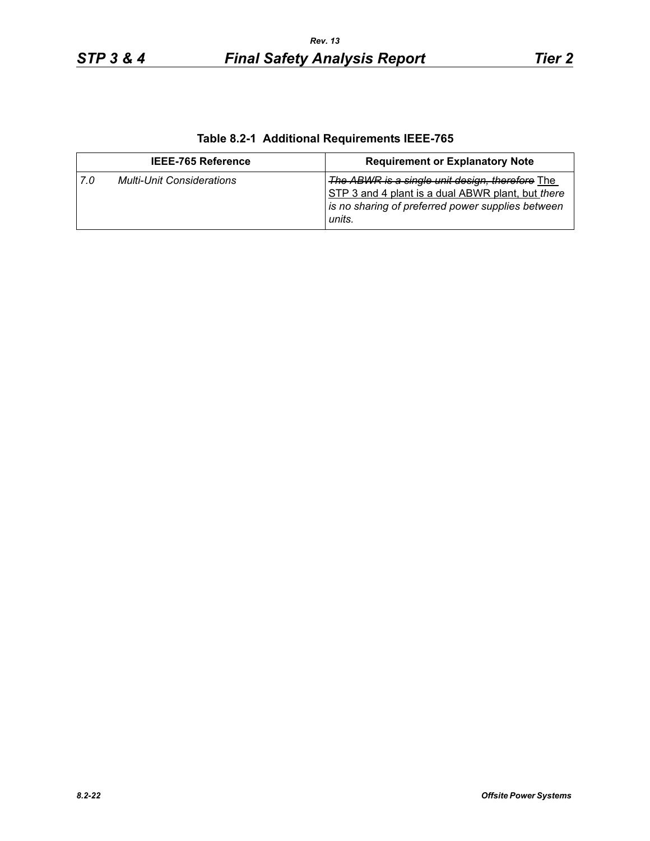| Table 8.2-1 Additional Requirements IEEE-765 |  |
|----------------------------------------------|--|
|                                              |  |

| <b>IEEE-765 Reference</b>               | <b>Requirement or Explanatory Note</b>                                                                                                                              |
|-----------------------------------------|---------------------------------------------------------------------------------------------------------------------------------------------------------------------|
| <b>Multi-Unit Considerations</b><br>7.0 | The ABWR is a single unit design, therefore The<br>STP 3 and 4 plant is a dual ABWR plant, but there<br>is no sharing of preferred power supplies between<br>units. |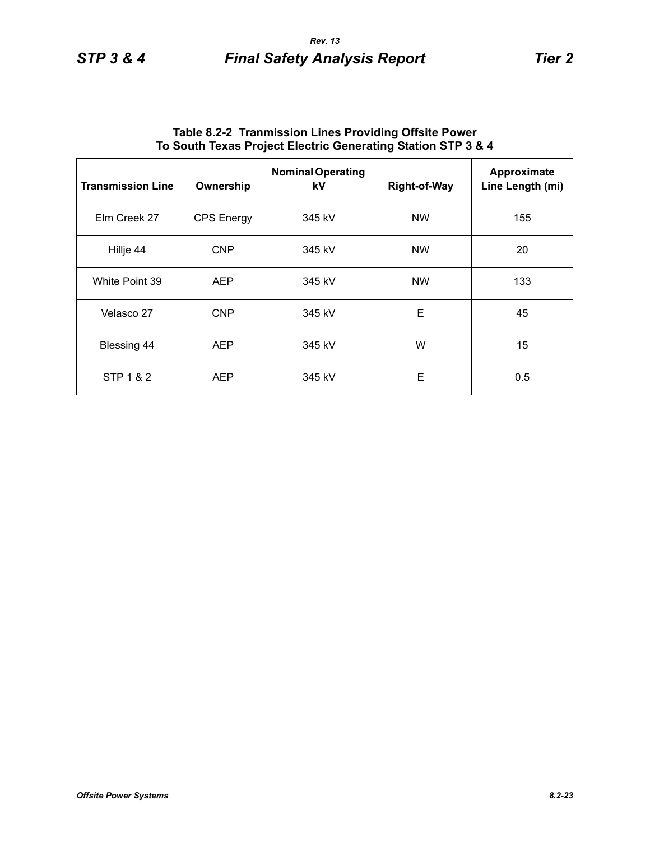| <b>Transmission Line</b> | Ownership         | <b>Nominal Operating</b><br>kV | <b>Right-of-Way</b> | Approximate<br>Line Length (mi) |
|--------------------------|-------------------|--------------------------------|---------------------|---------------------------------|
| Elm Creek 27             | <b>CPS</b> Energy | 345 kV                         | <b>NW</b>           | 155                             |
| Hillje 44                | <b>CNP</b>        | 345 kV                         | <b>NW</b>           | 20                              |
| White Point 39           | <b>AEP</b>        | 345 kV                         | <b>NW</b>           | 133                             |
| Velasco 27               | <b>CNP</b>        | 345 kV                         | E                   | 45                              |
| Blessing 44              | <b>AEP</b>        | 345 kV                         | W                   | 15                              |
| STP 1 & 2                | <b>AEP</b>        | 345 kV                         | E                   | 0.5                             |

## **Table 8.2-2 Tranmission Lines Providing Offsite Power To South Texas Project Electric Generating Station STP 3 & 4**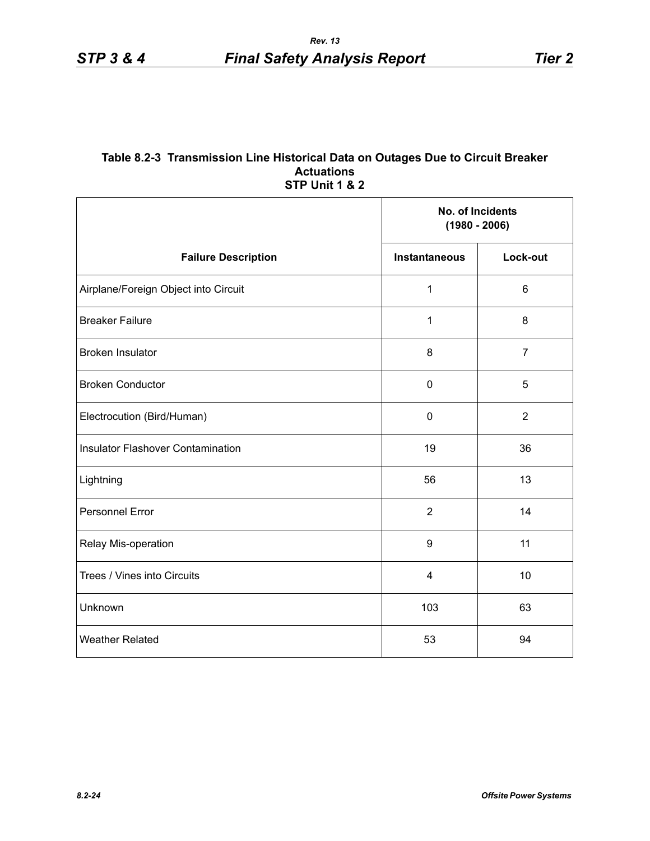#### **Table 8.2-3 Transmission Line Historical Data on Outages Due to Circuit Breaker Actuations STP Unit 1 & 2**

|                                          | No. of Incidents<br>$(1980 - 2006)$ |                |
|------------------------------------------|-------------------------------------|----------------|
| <b>Failure Description</b>               | <b>Instantaneous</b>                | Lock-out       |
| Airplane/Foreign Object into Circuit     | 1                                   | $6\phantom{1}$ |
| <b>Breaker Failure</b>                   | $\mathbf{1}$                        | 8              |
| <b>Broken Insulator</b>                  | 8                                   | $\overline{7}$ |
| <b>Broken Conductor</b>                  | 0                                   | 5              |
| Electrocution (Bird/Human)               | 0                                   | $\overline{2}$ |
| <b>Insulator Flashover Contamination</b> | 19                                  | 36             |
| Lightning                                | 56                                  | 13             |
| Personnel Error                          | $\overline{2}$                      | 14             |
| Relay Mis-operation                      | 9                                   | 11             |
| Trees / Vines into Circuits              | 4                                   | 10             |
| Unknown                                  | 103                                 | 63             |
| <b>Weather Related</b>                   | 53                                  | 94             |